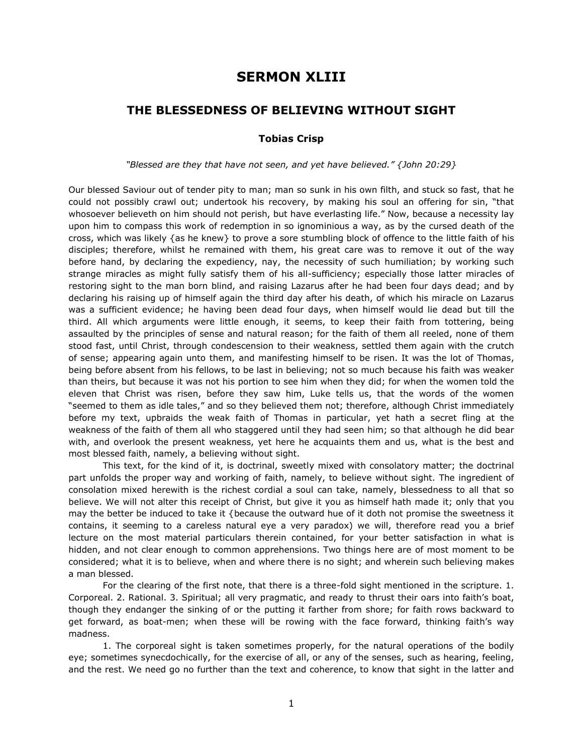## **SERMON XLIII**

## **THE BLESSEDNESS OF BELIEVING WITHOUT SIGHT**

## **Tobias Crisp**

## *"Blessed are they that have not seen, and yet have believed." {John 20:29}*

Our blessed Saviour out of tender pity to man; man so sunk in his own filth, and stuck so fast, that he could not possibly crawl out; undertook his recovery, by making his soul an offering for sin, "that whosoever believeth on him should not perish, but have everlasting life." Now, because a necessity lay upon him to compass this work of redemption in so ignominious a way, as by the cursed death of the cross, which was likely {as he knew} to prove a sore stumbling block of offence to the little faith of his disciples; therefore, whilst he remained with them, his great care was to remove it out of the way before hand, by declaring the expediency, nay, the necessity of such humiliation; by working such strange miracles as might fully satisfy them of his all-sufficiency; especially those latter miracles of restoring sight to the man born blind, and raising Lazarus after he had been four days dead; and by declaring his raising up of himself again the third day after his death, of which his miracle on Lazarus was a sufficient evidence; he having been dead four days, when himself would lie dead but till the third. All which arguments were little enough, it seems, to keep their faith from tottering, being assaulted by the principles of sense and natural reason; for the faith of them all reeled, none of them stood fast, until Christ, through condescension to their weakness, settled them again with the crutch of sense; appearing again unto them, and manifesting himself to be risen. It was the lot of Thomas, being before absent from his fellows, to be last in believing; not so much because his faith was weaker than theirs, but because it was not his portion to see him when they did; for when the women told the eleven that Christ was risen, before they saw him, Luke tells us, that the words of the women "seemed to them as idle tales," and so they believed them not; therefore, although Christ immediately before my text, upbraids the weak faith of Thomas in particular, yet hath a secret fling at the weakness of the faith of them all who staggered until they had seen him; so that although he did bear with, and overlook the present weakness, yet here he acquaints them and us, what is the best and most blessed faith, namely, a believing without sight.

This text, for the kind of it, is doctrinal, sweetly mixed with consolatory matter; the doctrinal part unfolds the proper way and working of faith, namely, to believe without sight. The ingredient of consolation mixed herewith is the richest cordial a soul can take, namely, blessedness to all that so believe. We will not alter this receipt of Christ, but give it you as himself hath made it; only that you may the better be induced to take it {because the outward hue of it doth not promise the sweetness it contains, it seeming to a careless natural eye a very paradox) we will, therefore read you a brief lecture on the most material particulars therein contained, for your better satisfaction in what is hidden, and not clear enough to common apprehensions. Two things here are of most moment to be considered; what it is to believe, when and where there is no sight; and wherein such believing makes a man blessed.

For the clearing of the first note, that there is a three-fold sight mentioned in the scripture. 1. Corporeal. 2. Rational. 3. Spiritual; all very pragmatic, and ready to thrust their oars into faith's boat, though they endanger the sinking of or the putting it farther from shore; for faith rows backward to get forward, as boat-men; when these will be rowing with the face forward, thinking faith's way madness.

1. The corporeal sight is taken sometimes properly, for the natural operations of the bodily eye; sometimes synecdochically, for the exercise of all, or any of the senses, such as hearing, feeling, and the rest. We need go no further than the text and coherence, to know that sight in the latter and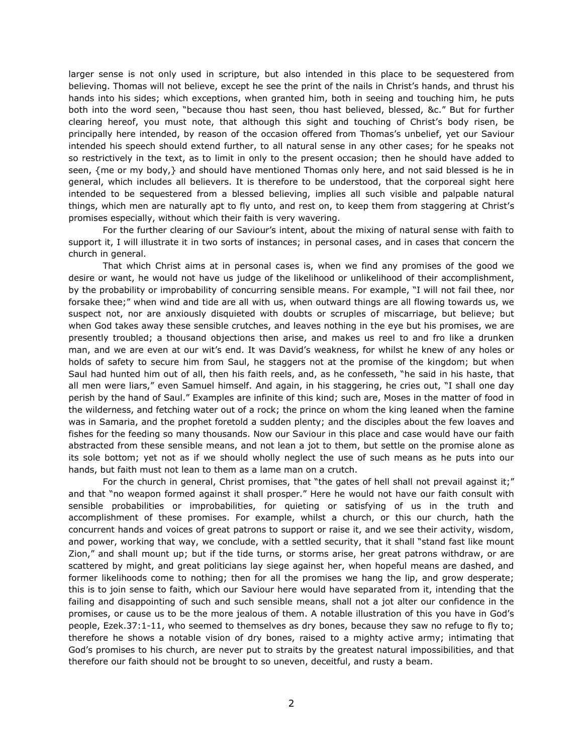larger sense is not only used in scripture, but also intended in this place to be sequestered from believing. Thomas will not believe, except he see the print of the nails in Christ's hands, and thrust his hands into his sides; which exceptions, when granted him, both in seeing and touching him, he puts both into the word seen, "because thou hast seen, thou hast believed, blessed, &c." But for further clearing hereof, you must note, that although this sight and touching of Christ's body risen, be principally here intended, by reason of the occasion offered from Thomas's unbelief, yet our Saviour intended his speech should extend further, to all natural sense in any other cases; for he speaks not so restrictively in the text, as to limit in only to the present occasion; then he should have added to seen, {me or my body,} and should have mentioned Thomas only here, and not said blessed is he in general, which includes all believers. It is therefore to be understood, that the corporeal sight here intended to be sequestered from a blessed believing, implies all such visible and palpable natural things, which men are naturally apt to fly unto, and rest on, to keep them from staggering at Christ's promises especially, without which their faith is very wavering.

For the further clearing of our Saviour's intent, about the mixing of natural sense with faith to support it, I will illustrate it in two sorts of instances; in personal cases, and in cases that concern the church in general.

That which Christ aims at in personal cases is, when we find any promises of the good we desire or want, he would not have us judge of the likelihood or unlikelihood of their accomplishment, by the probability or improbability of concurring sensible means. For example, "I will not fail thee, nor forsake thee;" when wind and tide are all with us, when outward things are all flowing towards us, we suspect not, nor are anxiously disquieted with doubts or scruples of miscarriage, but believe; but when God takes away these sensible crutches, and leaves nothing in the eye but his promises, we are presently troubled; a thousand objections then arise, and makes us reel to and fro like a drunken man, and we are even at our wit's end. It was David's weakness, for whilst he knew of any holes or holds of safety to secure him from Saul, he staggers not at the promise of the kingdom; but when Saul had hunted him out of all, then his faith reels, and, as he confesseth, "he said in his haste, that all men were liars," even Samuel himself. And again, in his staggering, he cries out, "I shall one day perish by the hand of Saul." Examples are infinite of this kind; such are, Moses in the matter of food in the wilderness, and fetching water out of a rock; the prince on whom the king leaned when the famine was in Samaria, and the prophet foretold a sudden plenty; and the disciples about the few loaves and fishes for the feeding so many thousands. Now our Saviour in this place and case would have our faith abstracted from these sensible means, and not lean a jot to them, but settle on the promise alone as its sole bottom; yet not as if we should wholly neglect the use of such means as he puts into our hands, but faith must not lean to them as a lame man on a crutch.

For the church in general, Christ promises, that "the gates of hell shall not prevail against it;" and that "no weapon formed against it shall prosper." Here he would not have our faith consult with sensible probabilities or improbabilities, for quieting or satisfying of us in the truth and accomplishment of these promises. For example, whilst a church, or this our church, hath the concurrent hands and voices of great patrons to support or raise it, and we see their activity, wisdom, and power, working that way, we conclude, with a settled security, that it shall "stand fast like mount Zion," and shall mount up; but if the tide turns, or storms arise, her great patrons withdraw, or are scattered by might, and great politicians lay siege against her, when hopeful means are dashed, and former likelihoods come to nothing; then for all the promises we hang the lip, and grow desperate; this is to join sense to faith, which our Saviour here would have separated from it, intending that the failing and disappointing of such and such sensible means, shall not a jot alter our confidence in the promises, or cause us to be the more jealous of them. A notable illustration of this you have in God's people, Ezek.37:1-11, who seemed to themselves as dry bones, because they saw no refuge to fly to; therefore he shows a notable vision of dry bones, raised to a mighty active army; intimating that God's promises to his church, are never put to straits by the greatest natural impossibilities, and that therefore our faith should not be brought to so uneven, deceitful, and rusty a beam.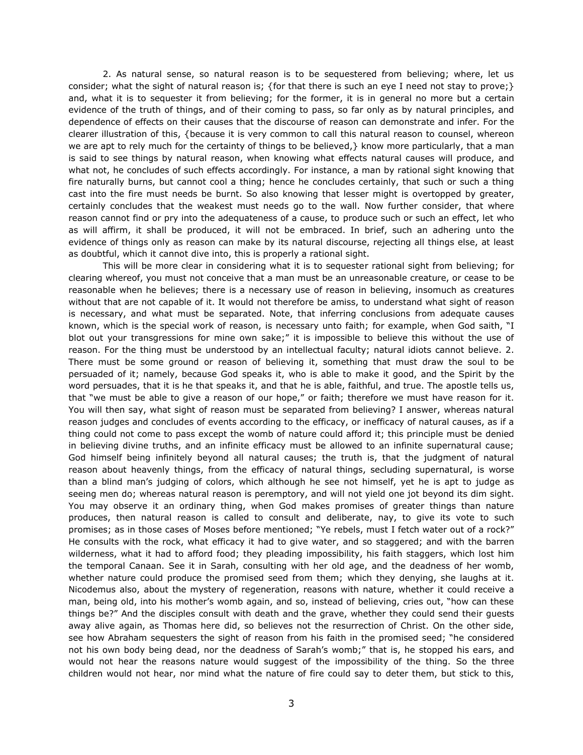2. As natural sense, so natural reason is to be sequestered from believing; where, let us consider; what the sight of natural reason is; {for that there is such an eye I need not stay to prove;} and, what it is to sequester it from believing; for the former, it is in general no more but a certain evidence of the truth of things, and of their coming to pass, so far only as by natural principles, and dependence of effects on their causes that the discourse of reason can demonstrate and infer. For the clearer illustration of this, {because it is very common to call this natural reason to counsel, whereon we are apt to rely much for the certainty of things to be believed, } know more particularly, that a man is said to see things by natural reason, when knowing what effects natural causes will produce, and what not, he concludes of such effects accordingly. For instance, a man by rational sight knowing that fire naturally burns, but cannot cool a thing; hence he concludes certainly, that such or such a thing cast into the fire must needs be burnt. So also knowing that lesser might is overtopped by greater, certainly concludes that the weakest must needs go to the wall. Now further consider, that where reason cannot find or pry into the adequateness of a cause, to produce such or such an effect, let who as will affirm, it shall be produced, it will not be embraced. In brief, such an adhering unto the evidence of things only as reason can make by its natural discourse, rejecting all things else, at least as doubtful, which it cannot dive into, this is properly a rational sight.

This will be more clear in considering what it is to sequester rational sight from believing; for clearing whereof, you must not conceive that a man must be an unreasonable creature, or cease to be reasonable when he believes; there is a necessary use of reason in believing, insomuch as creatures without that are not capable of it. It would not therefore be amiss, to understand what sight of reason is necessary, and what must be separated. Note, that inferring conclusions from adequate causes known, which is the special work of reason, is necessary unto faith; for example, when God saith, "I blot out your transgressions for mine own sake;" it is impossible to believe this without the use of reason. For the thing must be understood by an intellectual faculty; natural idiots cannot believe. 2. There must be some ground or reason of believing it, something that must draw the soul to be persuaded of it; namely, because God speaks it, who is able to make it good, and the Spirit by the word persuades, that it is he that speaks it, and that he is able, faithful, and true. The apostle tells us, that "we must be able to give a reason of our hope," or faith; therefore we must have reason for it. You will then say, what sight of reason must be separated from believing? I answer, whereas natural reason judges and concludes of events according to the efficacy, or inefficacy of natural causes, as if a thing could not come to pass except the womb of nature could afford it; this principle must be denied in believing divine truths, and an infinite efficacy must be allowed to an infinite supernatural cause; God himself being infinitely beyond all natural causes; the truth is, that the judgment of natural reason about heavenly things, from the efficacy of natural things, secluding supernatural, is worse than a blind man's judging of colors, which although he see not himself, yet he is apt to judge as seeing men do; whereas natural reason is peremptory, and will not yield one jot beyond its dim sight. You may observe it an ordinary thing, when God makes promises of greater things than nature produces, then natural reason is called to consult and deliberate, nay, to give its vote to such promises; as in those cases of Moses before mentioned; "Ye rebels, must I fetch water out of a rock?" He consults with the rock, what efficacy it had to give water, and so staggered; and with the barren wilderness, what it had to afford food; they pleading impossibility, his faith staggers, which lost him the temporal Canaan. See it in Sarah, consulting with her old age, and the deadness of her womb, whether nature could produce the promised seed from them; which they denying, she laughs at it. Nicodemus also, about the mystery of regeneration, reasons with nature, whether it could receive a man, being old, into his mother's womb again, and so, instead of believing, cries out, "how can these things be?" And the disciples consult with death and the grave, whether they could send their guests away alive again, as Thomas here did, so believes not the resurrection of Christ. On the other side, see how Abraham sequesters the sight of reason from his faith in the promised seed; "he considered not his own body being dead, nor the deadness of Sarah's womb;" that is, he stopped his ears, and would not hear the reasons nature would suggest of the impossibility of the thing. So the three children would not hear, nor mind what the nature of fire could say to deter them, but stick to this,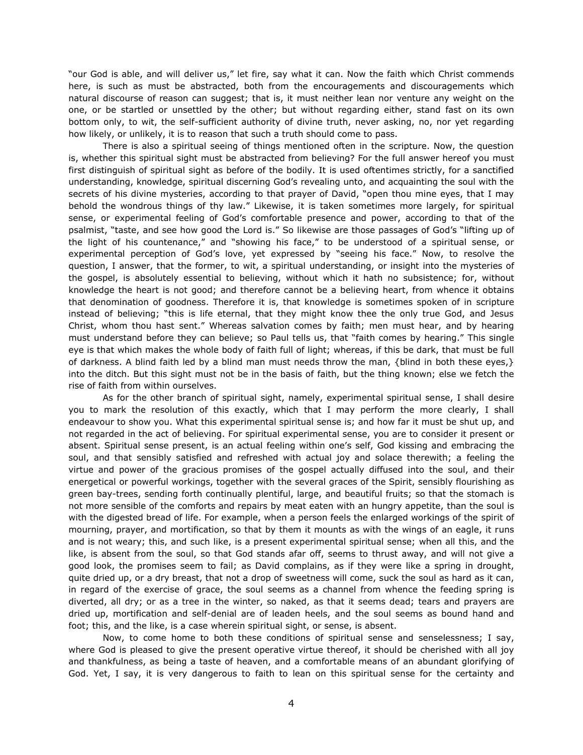"our God is able, and will deliver us," let fire, say what it can. Now the faith which Christ commends here, is such as must be abstracted, both from the encouragements and discouragements which natural discourse of reason can suggest; that is, it must neither lean nor venture any weight on the one, or be startled or unsettled by the other; but without regarding either, stand fast on its own bottom only, to wit, the self-sufficient authority of divine truth, never asking, no, nor yet regarding how likely, or unlikely, it is to reason that such a truth should come to pass.

There is also a spiritual seeing of things mentioned often in the scripture. Now, the question is, whether this spiritual sight must be abstracted from believing? For the full answer hereof you must first distinguish of spiritual sight as before of the bodily. It is used oftentimes strictly, for a sanctified understanding, knowledge, spiritual discerning God's revealing unto, and acquainting the soul with the secrets of his divine mysteries, according to that prayer of David, "open thou mine eyes, that I may behold the wondrous things of thy law." Likewise, it is taken sometimes more largely, for spiritual sense, or experimental feeling of God's comfortable presence and power, according to that of the psalmist, "taste, and see how good the Lord is." So likewise are those passages of God's "lifting up of the light of his countenance," and "showing his face," to be understood of a spiritual sense, or experimental perception of God's love, yet expressed by "seeing his face." Now, to resolve the question, I answer, that the former, to wit, a spiritual understanding, or insight into the mysteries of the gospel, is absolutely essential to believing, without which it hath no subsistence; for, without knowledge the heart is not good; and therefore cannot be a believing heart, from whence it obtains that denomination of goodness. Therefore it is, that knowledge is sometimes spoken of in scripture instead of believing; "this is life eternal, that they might know thee the only true God, and Jesus Christ, whom thou hast sent." Whereas salvation comes by faith; men must hear, and by hearing must understand before they can believe; so Paul tells us, that "faith comes by hearing." This single eye is that which makes the whole body of faith full of light; whereas, if this be dark, that must be full of darkness. A blind faith led by a blind man must needs throw the man, {blind in both these eyes,} into the ditch. But this sight must not be in the basis of faith, but the thing known; else we fetch the rise of faith from within ourselves.

As for the other branch of spiritual sight, namely, experimental spiritual sense, I shall desire you to mark the resolution of this exactly, which that I may perform the more clearly, I shall endeavour to show you. What this experimental spiritual sense is; and how far it must be shut up, and not regarded in the act of believing. For spiritual experimental sense, you are to consider it present or absent. Spiritual sense present, is an actual feeling within one's self, God kissing and embracing the soul, and that sensibly satisfied and refreshed with actual joy and solace therewith; a feeling the virtue and power of the gracious promises of the gospel actually diffused into the soul, and their energetical or powerful workings, together with the several graces of the Spirit, sensibly flourishing as green bay-trees, sending forth continually plentiful, large, and beautiful fruits; so that the stomach is not more sensible of the comforts and repairs by meat eaten with an hungry appetite, than the soul is with the digested bread of life. For example, when a person feels the enlarged workings of the spirit of mourning, prayer, and mortification, so that by them it mounts as with the wings of an eagle, it runs and is not weary; this, and such like, is a present experimental spiritual sense; when all this, and the like, is absent from the soul, so that God stands afar off, seems to thrust away, and will not give a good look, the promises seem to fail; as David complains, as if they were like a spring in drought, quite dried up, or a dry breast, that not a drop of sweetness will come, suck the soul as hard as it can, in regard of the exercise of grace, the soul seems as a channel from whence the feeding spring is diverted, all dry; or as a tree in the winter, so naked, as that it seems dead; tears and prayers are dried up, mortification and self-denial are of leaden heels, and the soul seems as bound hand and foot; this, and the like, is a case wherein spiritual sight, or sense, is absent.

Now, to come home to both these conditions of spiritual sense and senselessness; I say, where God is pleased to give the present operative virtue thereof, it should be cherished with all joy and thankfulness, as being a taste of heaven, and a comfortable means of an abundant glorifying of God. Yet, I say, it is very dangerous to faith to lean on this spiritual sense for the certainty and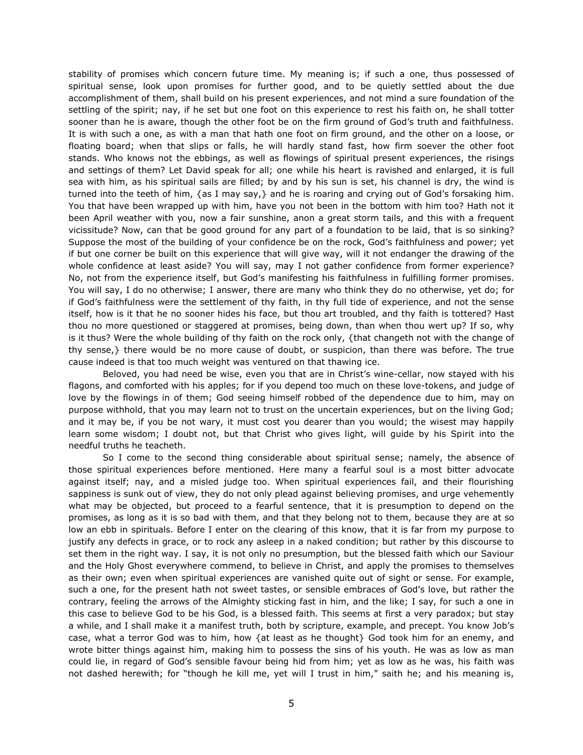stability of promises which concern future time. My meaning is; if such a one, thus possessed of spiritual sense, look upon promises for further good, and to be quietly settled about the due accomplishment of them, shall build on his present experiences, and not mind a sure foundation of the settling of the spirit; nay, if he set but one foot on this experience to rest his faith on, he shall totter sooner than he is aware, though the other foot be on the firm ground of God's truth and faithfulness. It is with such a one, as with a man that hath one foot on firm ground, and the other on a loose, or floating board; when that slips or falls, he will hardly stand fast, how firm soever the other foot stands. Who knows not the ebbings, as well as flowings of spiritual present experiences, the risings and settings of them? Let David speak for all; one while his heart is ravished and enlarged, it is full sea with him, as his spiritual sails are filled; by and by his sun is set, his channel is dry, the wind is turned into the teeth of him, {as I may say,} and he is roaring and crying out of God's forsaking him. You that have been wrapped up with him, have you not been in the bottom with him too? Hath not it been April weather with you, now a fair sunshine, anon a great storm tails, and this with a frequent vicissitude? Now, can that be good ground for any part of a foundation to be laid, that is so sinking? Suppose the most of the building of your confidence be on the rock, God's faithfulness and power; yet if but one corner be built on this experience that will give way, will it not endanger the drawing of the whole confidence at least aside? You will say, may I not gather confidence from former experience? No, not from the experience itself, but God's manifesting his faithfulness in fulfilling former promises. You will say, I do no otherwise; I answer, there are many who think they do no otherwise, yet do; for if God's faithfulness were the settlement of thy faith, in thy full tide of experience, and not the sense itself, how is it that he no sooner hides his face, but thou art troubled, and thy faith is tottered? Hast thou no more questioned or staggered at promises, being down, than when thou wert up? If so, why is it thus? Were the whole building of thy faith on the rock only, {that changeth not with the change of thy sense,} there would be no more cause of doubt, or suspicion, than there was before. The true cause indeed is that too much weight was ventured on that thawing ice.

Beloved, you had need be wise, even you that are in Christ's wine-cellar, now stayed with his flagons, and comforted with his apples; for if you depend too much on these love-tokens, and judge of love by the flowings in of them; God seeing himself robbed of the dependence due to him, may on purpose withhold, that you may learn not to trust on the uncertain experiences, but on the living God; and it may be, if you be not wary, it must cost you dearer than you would; the wisest may happily learn some wisdom; I doubt not, but that Christ who gives light, will guide by his Spirit into the needful truths he teacheth.

So I come to the second thing considerable about spiritual sense; namely, the absence of those spiritual experiences before mentioned. Here many a fearful soul is a most bitter advocate against itself; nay, and a misled judge too. When spiritual experiences fail, and their flourishing sappiness is sunk out of view, they do not only plead against believing promises, and urge vehemently what may be objected, but proceed to a fearful sentence, that it is presumption to depend on the promises, as long as it is so bad with them, and that they belong not to them, because they are at so low an ebb in spirituals. Before I enter on the clearing of this know, that it is far from my purpose to justify any defects in grace, or to rock any asleep in a naked condition; but rather by this discourse to set them in the right way. I say, it is not only no presumption, but the blessed faith which our Saviour and the Holy Ghost everywhere commend, to believe in Christ, and apply the promises to themselves as their own; even when spiritual experiences are vanished quite out of sight or sense. For example, such a one, for the present hath not sweet tastes, or sensible embraces of God's love, but rather the contrary, feeling the arrows of the Almighty sticking fast in him, and the like; I say, for such a one in this case to believe God to be his God, is a blessed faith. This seems at first a very paradox; but stay a while, and I shall make it a manifest truth, both by scripture, example, and precept. You know Job's case, what a terror God was to him, how {at least as he thought} God took him for an enemy, and wrote bitter things against him, making him to possess the sins of his youth. He was as low as man could lie, in regard of God's sensible favour being hid from him; yet as low as he was, his faith was not dashed herewith; for "though he kill me, yet will I trust in him," saith he; and his meaning is,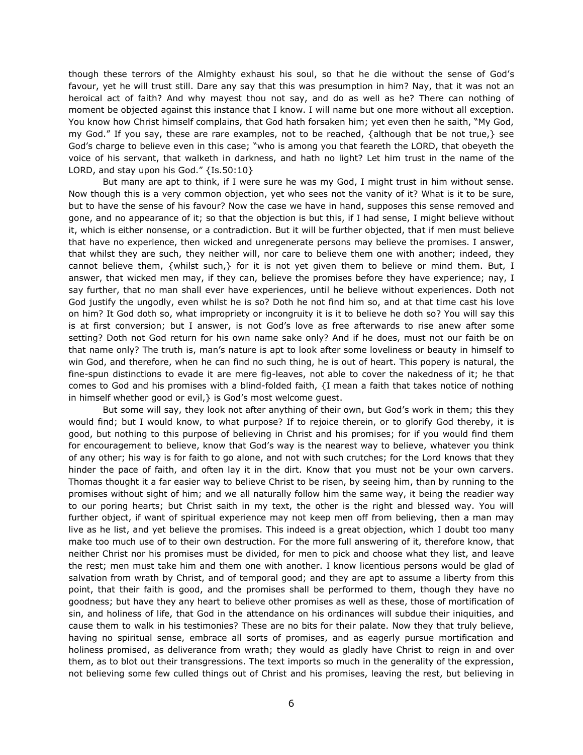though these terrors of the Almighty exhaust his soul, so that he die without the sense of God's favour, yet he will trust still. Dare any say that this was presumption in him? Nay, that it was not an heroical act of faith? And why mayest thou not say, and do as well as he? There can nothing of moment be objected against this instance that I know. I will name but one more without all exception. You know how Christ himself complains, that God hath forsaken him; yet even then he saith, "My God, my God." If you say, these are rare examples, not to be reached, {although that be not true,} see God's charge to believe even in this case; "who is among you that feareth the LORD, that obeyeth the voice of his servant, that walketh in darkness, and hath no light? Let him trust in the name of the LORD, and stay upon his God." {Is.50:10}

But many are apt to think, if I were sure he was my God, I might trust in him without sense. Now though this is a very common objection, yet who sees not the vanity of it? What is it to be sure, but to have the sense of his favour? Now the case we have in hand, supposes this sense removed and gone, and no appearance of it; so that the objection is but this, if I had sense, I might believe without it, which is either nonsense, or a contradiction. But it will be further objected, that if men must believe that have no experience, then wicked and unregenerate persons may believe the promises. I answer, that whilst they are such, they neither will, nor care to believe them one with another; indeed, they cannot believe them, {whilst such,} for it is not yet given them to believe or mind them. But, I answer, that wicked men may, if they can, believe the promises before they have experience; nay, I say further, that no man shall ever have experiences, until he believe without experiences. Doth not God justify the ungodly, even whilst he is so? Doth he not find him so, and at that time cast his love on him? It God doth so, what impropriety or incongruity it is it to believe he doth so? You will say this is at first conversion; but I answer, is not God's love as free afterwards to rise anew after some setting? Doth not God return for his own name sake only? And if he does, must not our faith be on that name only? The truth is, man's nature is apt to look after some loveliness or beauty in himself to win God, and therefore, when he can find no such thing, he is out of heart. This popery is natural, the fine-spun distinctions to evade it are mere fig-leaves, not able to cover the nakedness of it; he that comes to God and his promises with a blind-folded faith, {I mean a faith that takes notice of nothing in himself whether good or evil,} is God's most welcome guest.

But some will say, they look not after anything of their own, but God's work in them; this they would find; but I would know, to what purpose? If to rejoice therein, or to glorify God thereby, it is good, but nothing to this purpose of believing in Christ and his promises; for if you would find them for encouragement to believe, know that God's way is the nearest way to believe, whatever you think of any other; his way is for faith to go alone, and not with such crutches; for the Lord knows that they hinder the pace of faith, and often lay it in the dirt. Know that you must not be your own carvers. Thomas thought it a far easier way to believe Christ to be risen, by seeing him, than by running to the promises without sight of him; and we all naturally follow him the same way, it being the readier way to our poring hearts; but Christ saith in my text, the other is the right and blessed way. You will further object, if want of spiritual experience may not keep men off from believing, then a man may live as he list, and yet believe the promises. This indeed is a great objection, which I doubt too many make too much use of to their own destruction. For the more full answering of it, therefore know, that neither Christ nor his promises must be divided, for men to pick and choose what they list, and leave the rest; men must take him and them one with another. I know licentious persons would be glad of salvation from wrath by Christ, and of temporal good; and they are apt to assume a liberty from this point, that their faith is good, and the promises shall be performed to them, though they have no goodness; but have they any heart to believe other promises as well as these, those of mortification of sin, and holiness of life, that God in the attendance on his ordinances will subdue their iniquities, and cause them to walk in his testimonies? These are no bits for their palate. Now they that truly believe, having no spiritual sense, embrace all sorts of promises, and as eagerly pursue mortification and holiness promised, as deliverance from wrath; they would as gladly have Christ to reign in and over them, as to blot out their transgressions. The text imports so much in the generality of the expression, not believing some few culled things out of Christ and his promises, leaving the rest, but believing in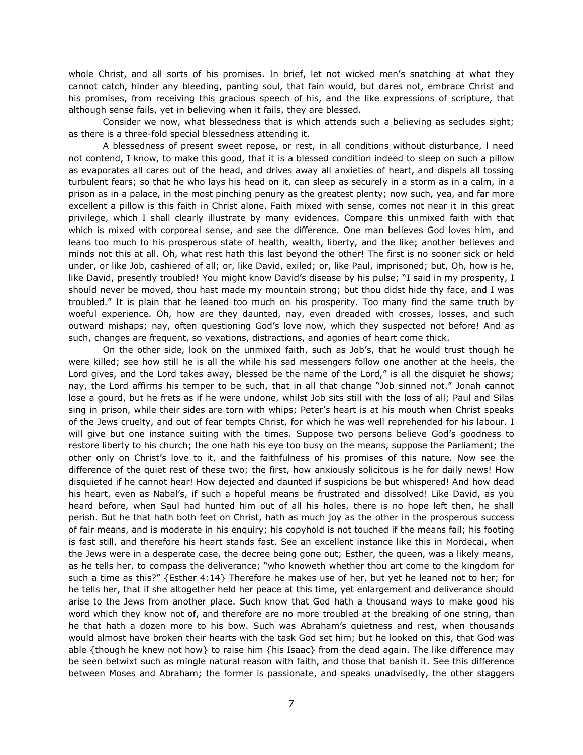whole Christ, and all sorts of his promises. In brief, let not wicked men's snatching at what they cannot catch, hinder any bleeding, panting soul, that fain would, but dares not, embrace Christ and his promises, from receiving this gracious speech of his, and the like expressions of scripture, that although sense fails, yet in believing when it fails, they are blessed.

Consider we now, what blessedness that is which attends such a believing as secludes sight; as there is a three-fold special blessedness attending it.

A blessedness of present sweet repose, or rest, in all conditions without disturbance, l need not contend, I know, to make this good, that it is a blessed condition indeed to sleep on such a pillow as evaporates all cares out of the head, and drives away all anxieties of heart, and dispels all tossing turbulent fears; so that he who lays his head on it, can sleep as securely in a storm as in a calm, in a prison as in a palace, in the most pinching penury as the greatest plenty; now such, yea, and far more excellent a pillow is this faith in Christ alone. Faith mixed with sense, comes not near it in this great privilege, which I shall clearly illustrate by many evidences. Compare this unmixed faith with that which is mixed with corporeal sense, and see the difference. One man believes God loves him, and leans too much to his prosperous state of health, wealth, liberty, and the like; another believes and minds not this at all. Oh, what rest hath this last beyond the other! The first is no sooner sick or held under, or like Job, cashiered of all; or, like David, exiled; or, like Paul, imprisoned; but, Oh, how is he, like David, presently troubled! You might know David's disease by his pulse; "I said in my prosperity, I should never be moved, thou hast made my mountain strong; but thou didst hide thy face, and I was troubled." It is plain that he leaned too much on his prosperity. Too many find the same truth by woeful experience. Oh, how are they daunted, nay, even dreaded with crosses, losses, and such outward mishaps; nay, often questioning God's love now, which they suspected not before! And as such, changes are frequent, so vexations, distractions, and agonies of heart come thick.

On the other side, look on the unmixed faith, such as Job's, that he would trust though he were killed; see how still he is all the while his sad messengers follow one another at the heels, the Lord gives, and the Lord takes away, blessed be the name of the Lord," is all the disquiet he shows; nay, the Lord affirms his temper to be such, that in all that change "Job sinned not." Jonah cannot lose a gourd, but he frets as if he were undone, whilst Job sits still with the loss of all; Paul and Silas sing in prison, while their sides are torn with whips; Peter's heart is at his mouth when Christ speaks of the Jews cruelty, and out of fear tempts Christ, for which he was well reprehended for his labour. I will give but one instance suiting with the times. Suppose two persons believe God's goodness to restore liberty to his church; the one hath his eye too busy on the means, suppose the Parliament; the other only on Christ's love to it, and the faithfulness of his promises of this nature. Now see the difference of the quiet rest of these two; the first, how anxiously solicitous is he for daily news! How disquieted if he cannot hear! How dejected and daunted if suspicions be but whispered! And how dead his heart, even as Nabal's, if such a hopeful means be frustrated and dissolved! Like David, as you heard before, when Saul had hunted him out of all his holes, there is no hope left then, he shall perish. But he that hath both feet on Christ, hath as much joy as the other in the prosperous success of fair means, and is moderate in his enquiry; his copyhold is not touched if the means fail; his footing is fast still, and therefore his heart stands fast. See an excellent instance like this in Mordecai, when the Jews were in a desperate case, the decree being gone out; Esther, the queen, was a likely means, as he tells her, to compass the deliverance; "who knoweth whether thou art come to the kingdom for such a time as this?" {Esther 4:14} Therefore he makes use of her, but yet he leaned not to her; for he tells her, that if she altogether held her peace at this time, yet enlargement and deliverance should arise to the Jews from another place. Such know that God hath a thousand ways to make good his word which they know not of, and therefore are no more troubled at the breaking of one string, than he that hath a dozen more to his bow. Such was Abraham's quietness and rest, when thousands would almost have broken their hearts with the task God set him; but he looked on this, that God was able {though he knew not how} to raise him {his Isaac} from the dead again. The like difference may be seen betwixt such as mingle natural reason with faith, and those that banish it. See this difference between Moses and Abraham; the former is passionate, and speaks unadvisedly, the other staggers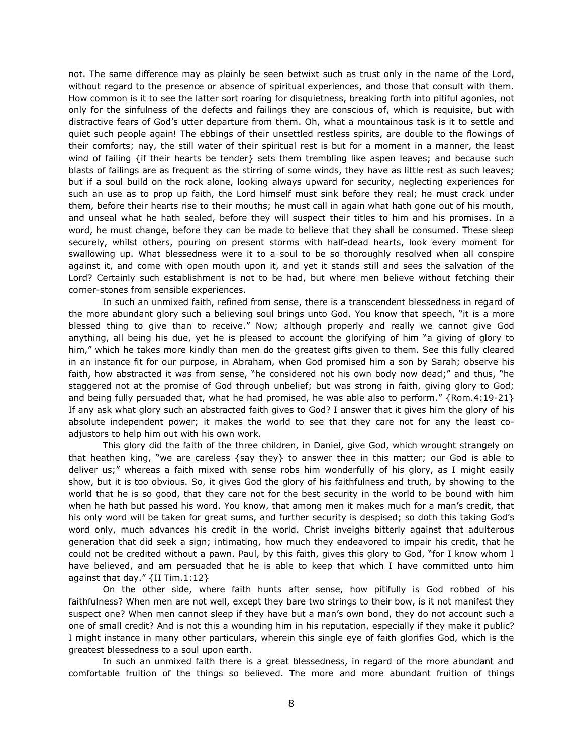not. The same difference may as plainly be seen betwixt such as trust only in the name of the Lord, without regard to the presence or absence of spiritual experiences, and those that consult with them. How common is it to see the latter sort roaring for disquietness, breaking forth into pitiful agonies, not only for the sinfulness of the defects and failings they are conscious of, which is requisite, but with distractive fears of God's utter departure from them. Oh, what a mountainous task is it to settle and quiet such people again! The ebbings of their unsettled restless spirits, are double to the flowings of their comforts; nay, the still water of their spiritual rest is but for a moment in a manner, the least wind of failing {if their hearts be tender} sets them trembling like aspen leaves; and because such blasts of failings are as frequent as the stirring of some winds, they have as little rest as such leaves; but if a soul build on the rock alone, looking always upward for security, neglecting experiences for such an use as to prop up faith, the Lord himself must sink before they real; he must crack under them, before their hearts rise to their mouths; he must call in again what hath gone out of his mouth, and unseal what he hath sealed, before they will suspect their titles to him and his promises. In a word, he must change, before they can be made to believe that they shall be consumed. These sleep securely, whilst others, pouring on present storms with half-dead hearts, look every moment for swallowing up. What blessedness were it to a soul to be so thoroughly resolved when all conspire against it, and come with open mouth upon it, and yet it stands still and sees the salvation of the Lord? Certainly such establishment is not to be had, but where men believe without fetching their corner-stones from sensible experiences.

In such an unmixed faith, refined from sense, there is a transcendent blessedness in regard of the more abundant glory such a believing soul brings unto God. You know that speech, "it is a more blessed thing to give than to receive." Now; although properly and really we cannot give God anything, all being his due, yet he is pleased to account the glorifying of him "a giving of glory to him," which he takes more kindly than men do the greatest gifts given to them. See this fully cleared in an instance fit for our purpose, in Abraham, when God promised him a son by Sarah; observe his faith, how abstracted it was from sense, "he considered not his own body now dead;" and thus, "he staggered not at the promise of God through unbelief; but was strong in faith, giving glory to God; and being fully persuaded that, what he had promised, he was able also to perform." {Rom.4:19-21} If any ask what glory such an abstracted faith gives to God? I answer that it gives him the glory of his absolute independent power; it makes the world to see that they care not for any the least coadjustors to help him out with his own work.

This glory did the faith of the three children, in Daniel, give God, which wrought strangely on that heathen king, "we are careless {say they} to answer thee in this matter; our God is able to deliver us;" whereas a faith mixed with sense robs him wonderfully of his glory, as I might easily show, but it is too obvious. So, it gives God the glory of his faithfulness and truth, by showing to the world that he is so good, that they care not for the best security in the world to be bound with him when he hath but passed his word. You know, that among men it makes much for a man's credit, that his only word will be taken for great sums, and further security is despised; so doth this taking God's word only, much advances his credit in the world. Christ inveighs bitterly against that adulterous generation that did seek a sign; intimating, how much they endeavored to impair his credit, that he could not be credited without a pawn. Paul, by this faith, gives this glory to God, "for I know whom I have believed, and am persuaded that he is able to keep that which I have committed unto him against that day." {II Tim.1:12}

On the other side, where faith hunts after sense, how pitifully is God robbed of his faithfulness? When men are not well, except they bare two strings to their bow, is it not manifest they suspect one? When men cannot sleep if they have but a man's own bond, they do not account such a one of small credit? And is not this a wounding him in his reputation, especially if they make it public? I might instance in many other particulars, wherein this single eye of faith glorifies God, which is the greatest blessedness to a soul upon earth.

In such an unmixed faith there is a great blessedness, in regard of the more abundant and comfortable fruition of the things so believed. The more and more abundant fruition of things